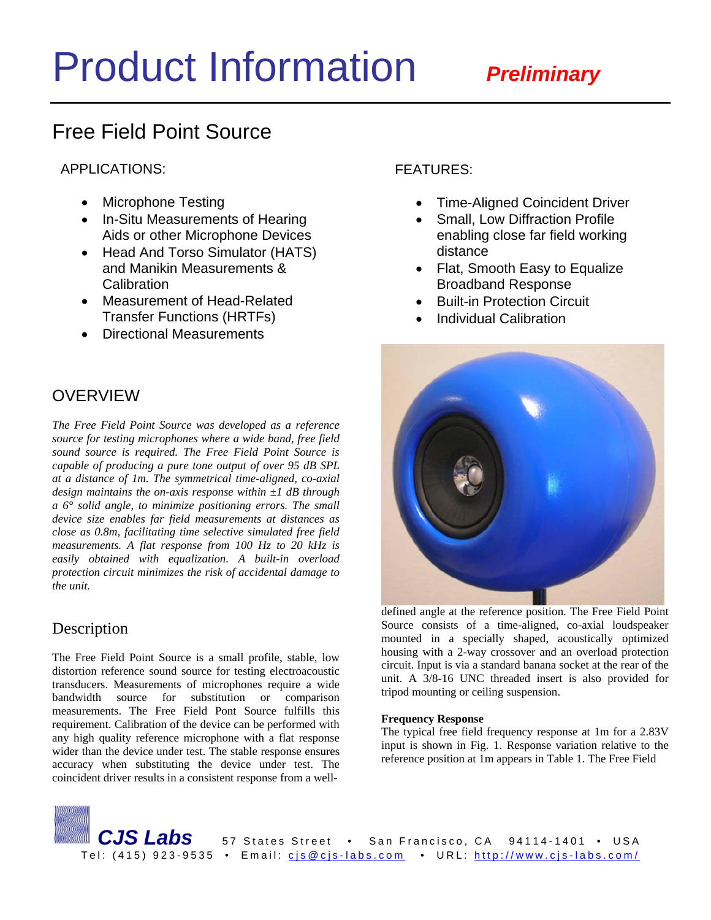# Product Information*Preliminary*

# Free Field Point Source

APPLICATIONS:

- Microphone Testing
- In-Situ Measurements of Hearing Aids or other Microphone Devices
- Head And Torso Simulator (HATS) and Manikin Measurements & **Calibration**
- Measurement of Head-Related Transfer Functions (HRTFs)
- Directional Measurements

# **OVERVIEW**

*The Free Field Point Source was developed as a reference source for testing microphones where a wide band, free field sound source is required. The Free Field Point Source is capable of producing a pure tone output of over 95 dB SPL at a distance of 1m. The symmetrical time-aligned, co-axial design maintains the on-axis response within ±1 dB through a 6° solid angle, to minimize positioning errors. The small device size enables far field measurements at distances as close as 0.8m, facilitating time selective simulated free field measurements. A flat response from 100 Hz to 20 kHz is easily obtained with equalization. A built-in overload protection circuit minimizes the risk of accidental damage to the unit.* 

## Description

The Free Field Point Source is a small profile, stable, low distortion reference sound source for testing electroacoustic transducers. Measurements of microphones require a wide bandwidth source for substitution or comparison measurements. The Free Field Pont Source fulfills this requirement. Calibration of the device can be performed with any high quality reference microphone with a flat response wider than the device under test. The stable response ensures accuracy when substituting the device under test. The coincident driver results in a consistent response from a wellFEATURES:

- Time-Aligned Coincident Driver
- Small, Low Diffraction Profile enabling close far field working distance
- Flat, Smooth Easy to Equalize Broadband Response
- **Built-in Protection Circuit**
- Individual Calibration



defined angle at the reference position. The Free Field Point Source consists of a time-aligned, co-axial loudspeaker mounted in a specially shaped, acoustically optimized housing with a 2-way crossover and an overload protection circuit. Input is via a standard banana socket at the rear of the unit. A 3/8-16 UNC threaded insert is also provided for tripod mounting or ceiling suspension.

## **Frequency Response**

The typical free field frequency response at 1m for a 2.83V input is shown in Fig. 1. Response variation relative to the reference position at 1m appears in Table 1. The Free Field